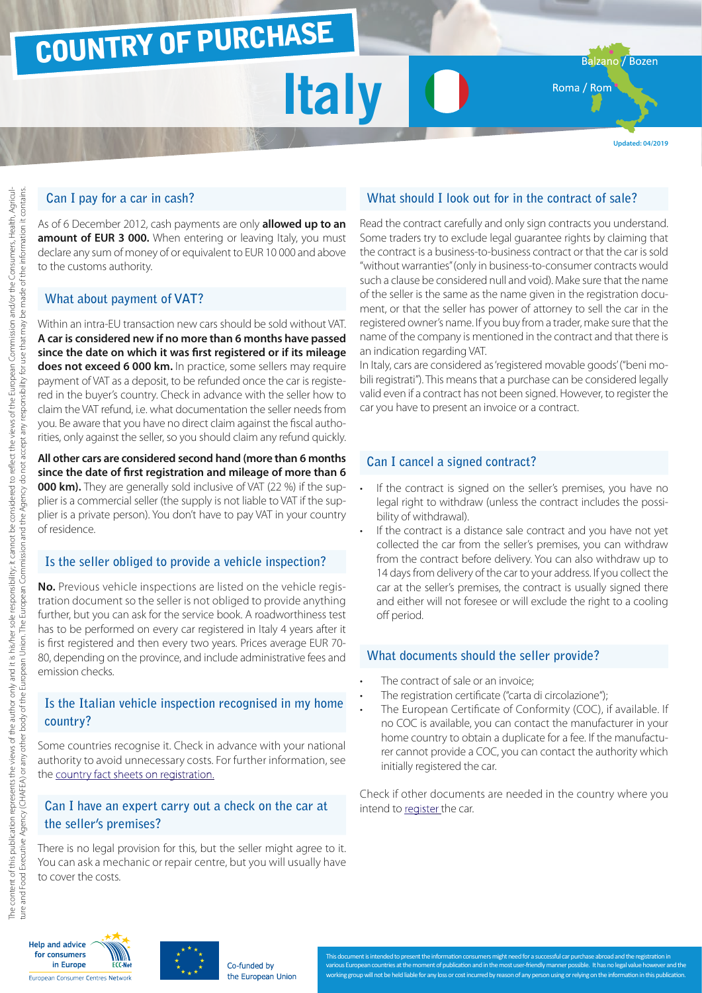# COUNTRY OF PURCHASE

**Italy**

Balzano / Bozen

Roma / Rom

**Updated: 04/2019**

## **Can I pay for a car in cash?**

As of 6 December 2012, cash payments are only **allowed up to an amount of EUR 3 000.** When entering or leaving Italy, you must declare any sum of money of or equivalent to EUR 10 000 and above to the customs authority.

### **What about payment of VAT?**

Within an intra-EU transaction new cars should be sold without VAT. **A car is considered new if no more than 6 months have passed since the date on which it was first registered or if its mileage does not exceed 6 000 km.** In practice, some sellers may require payment of VAT as a deposit, to be refunded once the car is registered in the buyer's country. Check in advance with the seller how to claim the VAT refund, i.e. what documentation the seller needs from you. Be aware that you have no direct claim against the fiscal authorities, only against the seller, so you should claim any refund quickly.

**All other cars are considered second hand (more than 6 months since the date of first registration and mileage of more than 6 000 km).** They are generally sold inclusive of VAT (22 %) if the supplier is a commercial seller (the supply is not liable to VAT if the supplier is a private person). You don't have to pay VAT in your country of residence.

## **Is the seller obliged to provide a vehicle inspection?**

**No.** Previous vehicle inspections are listed on the vehicle registration document so the seller is not obliged to provide anything further, but you can ask for the service book. A roadworthiness test has to be performed on every car registered in Italy 4 years after it is first registered and then every two years. Prices average EUR 70- 80, depending on the province, and include administrative fees and emission checks.

### **Is the Italian vehicle inspection recognised in my home country?**

Some countries recognise it. Check in advance with your national authority to avoid unnecessary costs. For further information, see the [country fact sheets on registration.](http://www.europe-consommateurs.eu/en/consumer-topics/on-the-road/buying-a-car/cross-border-car-purchase-and-registration/)

### **Can I have an expert carry out a check on the car at the seller's premises?**

There is no legal provision for this, but the seller might agree to it. You can ask a mechanic or repair centre, but you will usually have to cover the costs.

# **What should I look out for in the contract of sale?**

Read the contract carefully and only sign contracts you understand. Some traders try to exclude legal guarantee rights by claiming that the contract is a business-to-business contract or that the car is sold "without warranties" (only in business-to-consumer contracts would such a clause be considered null and void). Make sure that the name of the seller is the same as the name given in the registration document, or that the seller has power of attorney to sell the car in the registered owner's name. If you buy from a trader, make sure that the name of the company is mentioned in the contract and that there is an indication regarding VAT.

In Italy, cars are considered as 'registered movable goods' ("beni mobili registrati"). This means that a purchase can be considered legally valid even if a contract has not been signed. However, to register the car you have to present an invoice or a contract.

## **Can I cancel a signed contract?**

- If the contract is signed on the seller's premises, you have no legal right to withdraw (unless the contract includes the possibility of withdrawal).
- If the contract is a distance sale contract and you have not yet collected the car from the seller's premises, you can withdraw from the contract before delivery. You can also withdraw up to 14 days from delivery of the car to your address. If you collect the car at the seller's premises, the contract is usually signed there and either will not foresee or will exclude the right to a cooling off period.

### **What documents should the seller provide?**

- The contract of sale or an invoice;
- The registration certificate ("carta di circolazione");
- The European Certificate of Conformity (COC), if available. If no COC is available, you can contact the manufacturer in your home country to obtain a duplicate for a fee. If the manufacturer cannot provide a COC, you can contact the authority which initially registered the car.

Check if other documents are needed in the country where you intend to [register](http://www.europe-consommateurs.eu/en/consumer-topics/on-the-road/buying-a-car/cross-border-car-purchase-and-registration/) the car.